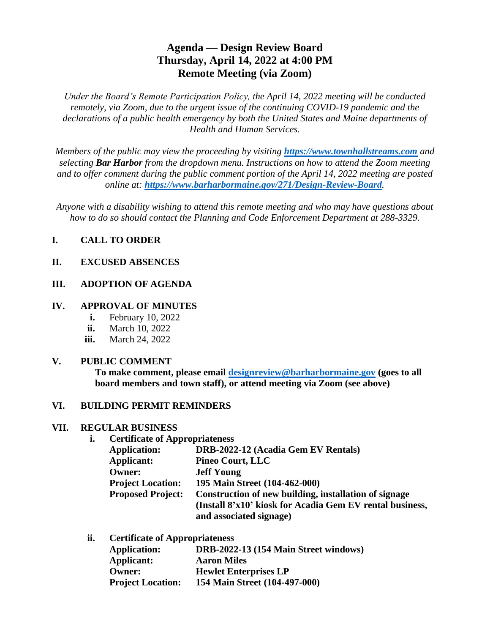## **Agenda — Design Review Board Thursday, April 14, 2022 at 4:00 PM Remote Meeting (via Zoom)**

*Under the Board's Remote Participation Policy, the April 14, 2022 meeting will be conducted remotely, via Zoom, due to the urgent issue of the continuing COVID-19 pandemic and the declarations of a public health emergency by both the United States and Maine departments of Health and Human Services.*

*Members of the public may view the proceeding by visiting [https://www.townhallstreams.com](https://www.townhallstreams.com/) and selecting Bar Harbor from the dropdown menu. Instructions on how to attend the Zoom meeting and to offer comment during the public comment portion of the April 14, 2022 meeting are posted online at: <https://www.barharbormaine.gov/271/Design-Review-Board>.*

*Anyone with a disability wishing to attend this remote meeting and who may have questions about how to do so should contact the Planning and Code Enforcement Department at 288-3329.*

### **I. CALL TO ORDER**

#### **II. EXCUSED ABSENCES**

#### **III. ADOPTION OF AGENDA**

#### **IV. APPROVAL OF MINUTES**

- **i.** February 10, 2022
- **ii.** March 10, 2022
- **iii.** March 24, 2022

#### **V. PUBLIC COMMENT**

**To make comment, please email [designreview@barharbormaine.gov](mailto:designreview@barharbormaine.gov) (goes to all board members and town staff), or attend meeting via Zoom (see above)**

#### **VI. BUILDING PERMIT REMINDERS**

#### **VII. REGULAR BUSINESS**

**i. Certificate of Appropriateness**

| <b>Application:</b>      | DRB-2022-12 (Acadia Gem EV Rentals)                      |
|--------------------------|----------------------------------------------------------|
| <b>Applicant:</b>        | <b>Pineo Court, LLC</b>                                  |
| <b>Owner:</b>            | <b>Jeff Young</b>                                        |
| <b>Project Location:</b> | 195 Main Street (104-462-000)                            |
| <b>Proposed Project:</b> | Construction of new building, installation of signage    |
|                          | (Install 8'x10' kiosk for Acadia Gem EV rental business, |
|                          | and associated signage)                                  |

**ii. Certificate of Appropriateness**

| <b>Application:</b>      | DRB-2022-13 (154 Main Street windows) |
|--------------------------|---------------------------------------|
| Applicant:               | <b>Aaron Miles</b>                    |
| <b>Owner:</b>            | <b>Hewlet Enterprises LP</b>          |
| <b>Project Location:</b> | 154 Main Street (104-497-000)         |